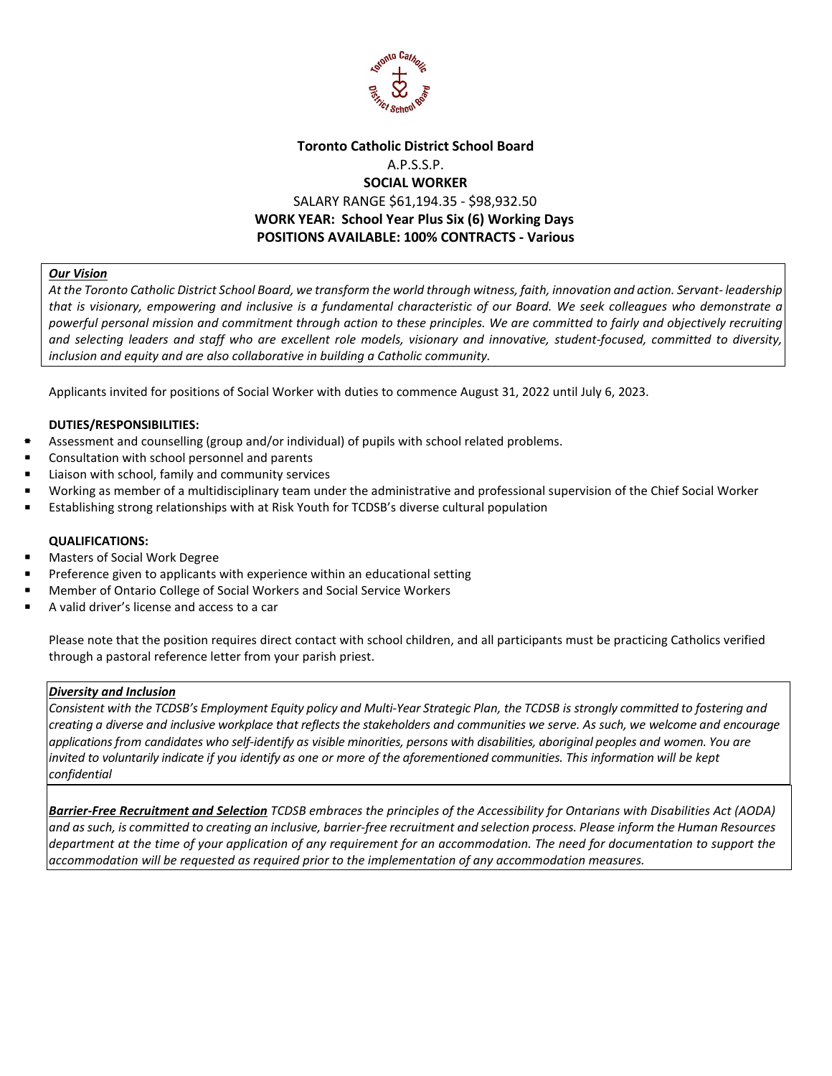

# **Toronto Catholic District School Board** A.P.S.S.P. **SOCIAL WORKER**  SALARY RANGE \$61,194.35 - \$98,932.50  **WORK YEAR: School Year Plus Six (6) Working Days POSITIONS AVAILABLE: 100% CONTRACTS - Various**

## *Our Vision*

*At the Toronto Catholic District School Board, we transform the world through witness, faith, innovation and action. Servant- leadership that is visionary, empowering and inclusive is a fundamental characteristic of our Board. We seek colleagues who demonstrate a powerful personal mission and commitment through action to these principles. We are committed to fairly and objectively recruiting and selecting leaders and staff who are excellent role models, visionary and innovative, student-focused, committed to diversity, inclusion and equity and are also collaborative in building a Catholic community.*

Applicants invited for positions of Social Worker with duties to commence August 31, 2022 until July 6, 2023.

### **DUTIES/RESPONSIBILITIES:**

- Assessment and counselling (group and/or individual) of pupils with school related problems.
- Consultation with school personnel and parents
- Liaison with school, family and community services
- Working as member of a multidisciplinary team under the administrative and professional supervision of the Chief Social Worker
- Establishing strong relationships with at Risk Youth for TCDSB's diverse cultural population

#### **QUALIFICATIONS:**

- Masters of Social Work Degree
- Preference given to applicants with experience within an educational setting
- Member of Ontario College of Social Workers and Social Service Workers
- A valid driver's license and access to a car

Please note that the position requires direct contact with school children, and all participants must be practicing Catholics verified through a pastoral reference letter from your parish priest.

#### *Diversity and Inclusion*

*Consistent with the TCDSB's Employment Equity policy and Multi-Year Strategic Plan, the TCDSB is strongly committed to fostering and creating a diverse and inclusive workplace that reflects the stakeholders and communities we serve. As such, we welcome and encourage applications from candidates who self-identify as visible minorities, persons with disabilities, aboriginal peoples and women. You are invited to voluntarily indicate if you identify as one or more of the aforementioned communities. This information will be kept confidential*

*Barrier-Free Recruitment and Selection TCDSB embraces the principles of the Accessibility for Ontarians with Disabilities Act (AODA) and as such, is committed to creating an inclusive, barrier-free recruitment and selection process. Please inform the Human Resources department at the time of your application of any requirement for an accommodation. The need for documentation to support the accommodation will be requested as required prior to the implementation of any accommodation measures.*